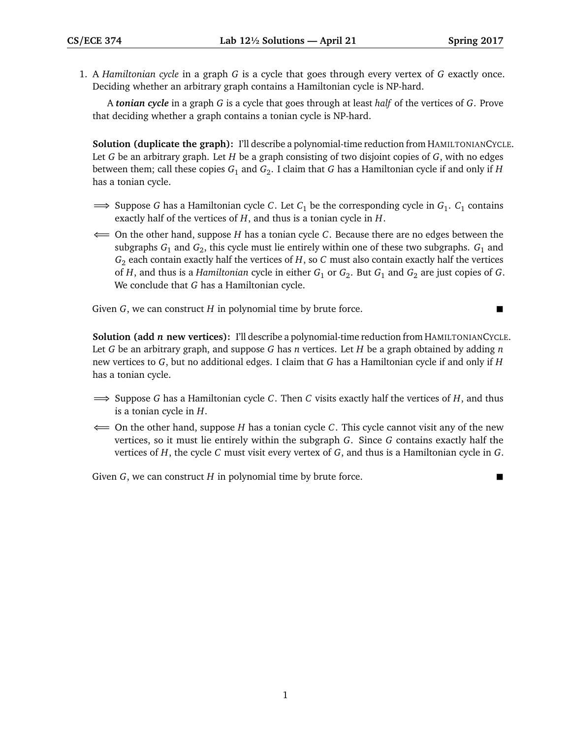1. A *Hamiltonian cycle* in a graph *G* is a cycle that goes through every vertex of *G* exactly once. Deciding whether an arbitrary graph contains a Hamiltonian cycle is NP-hard.

A *tonian cycle* in a graph *G* is a cycle that goes through at least *half* of the vertices of *G*. Prove that deciding whether a graph contains a tonian cycle is NP-hard.

**Solution (duplicate the graph):** I'll describe a polynomial-time reduction from HAMILTONIANCYCLE. Let *G* be an arbitrary graph. Let *H* be a graph consisting of two disjoint copies of *G*, with no edges between them; call these copies *G*<sup>1</sup> and *G*<sup>2</sup> . I claim that *G* has a Hamiltonian cycle if and only if *H* has a tonian cycle.

- ⇒ Suppose *G* has a Hamiltonian cycle *C*. Let *C*<sub>1</sub> be the corresponding cycle in *G*<sub>1</sub>. *C*<sub>1</sub> contains exactly half of the vertices of *H*, and thus is a tonian cycle in *H*.
- ⇐= On the other hand, suppose *H* has a tonian cycle *C*. Because there are no edges between the subgraphs *G*<sup>1</sup> and *G*<sup>2</sup> , this cycle must lie entirely within one of these two subgraphs. *G*<sup>1</sup> and *G*<sup>2</sup> each contain exactly half the vertices of *H*, so *C* must also contain exactly half the vertices of  $H$ , and thus is a *Hamiltonian c*ycle in either  $G_1$  or  $G_2$ . But  $G_1$  and  $G_2$  are just copies of  $G$ . We conclude that *G* has a Hamiltonian cycle.

Given *G*, we can construct *H* in polynomial time by brute force.

**Solution (add** *n* **new vertices):** I'll describe a polynomial-time reduction from HAMILTONIANCYCLE. Let *G* be an arbitrary graph, and suppose *G* has *n* vertices. Let *H* be a graph obtained by adding *n* new vertices to *G*, but no additional edges. I claim that *G* has a Hamiltonian cycle if and only if *H* has a tonian cycle.

- =⇒ Suppose *G* has a Hamiltonian cycle *C*. Then *C* visits exactly half the vertices of *H*, and thus is a tonian cycle in *H*.
- ⇐= On the other hand, suppose *H* has a tonian cycle *C*. This cycle cannot visit any of the new vertices, so it must lie entirely within the subgraph *G*. Since *G* contains exactly half the vertices of *H*, the cycle *C* must visit every vertex of *G*, and thus is a Hamiltonian cycle in *G*.

Given *G*, we can construct *H* in polynomial time by brute force.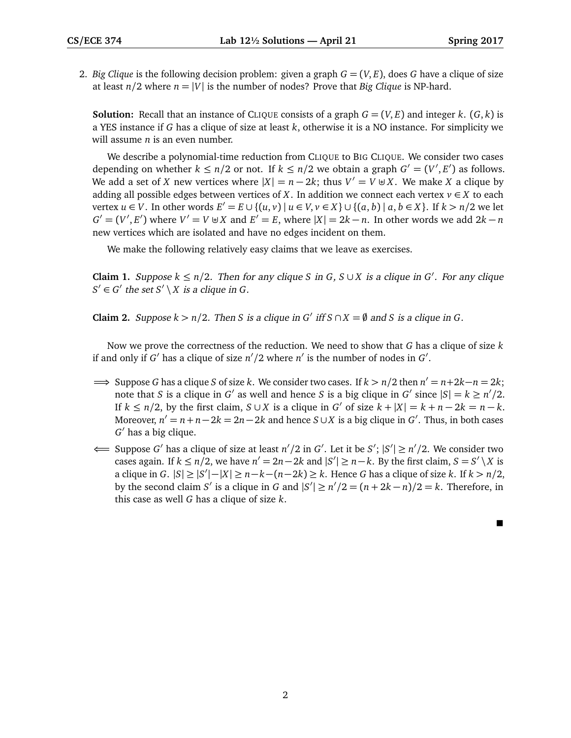2. *Big Clique* is the following decision problem: given a graph  $G = (V, E)$ , does G have a clique of size at least  $n/2$  where  $n = |V|$  is the number of nodes? Prove that *Big Clique* is NP-hard.

**Solution:** Recall that an instance of CLIQUE consists of a graph  $G = (V, E)$  and integer k.  $(G, k)$  is a YES instance if *G* has a clique of size at least *k*, otherwise it is a NO instance. For simplicity we will assume *n* is an even number.

We describe a polynomial-time reduction from CLIQUE to BIG CLIQUE. We consider two cases depending on whether  $k \leq n/2$  or not. If  $k \leq n/2$  we obtain a graph  $G' = (V', E')$  as follows. We add a set of *X* new vertices where  $|X| = n - 2k$ ; thus  $V' = V \cup X$ . We make *X* a clique by adding all possible edges between vertices of *X*. In addition we connect each vertex  $v \in X$  to each vertex  $u \in V$ . In other words  $E' = E \cup \{(u, v) \mid u \in V, v \in X\} \cup \{(a, b) \mid a, b \in X\}$ . If  $k > n/2$  we let  $G' = (V', E')$  where  $V' = V \oplus X$  and  $E' = E$ , where  $|X| = 2k - n$ . In other words we add  $2k - n$ new vertices which are isolated and have no edges incident on them.

We make the following relatively easy claims that we leave as exercises.

**Claim 1.** Suppose  $k ≤ n/2$ . Then for any clique *S* in *G*, *S* ∪ *X* is a clique in *G'*. For any clique  $S' \in G'$  the set  $S' \setminus X$  is a clique in *G*.

**Claim 2.** Suppose  $k > n/2$ . Then *S* is a clique in *G*<sup> $\prime$ </sup> iff  $S \cap X = \emptyset$  and *S* is a clique in *G*.

Now we prove the correctness of the reduction. We need to show that *G* has a clique of size *k* if and only if *G*<sup> $\prime$ </sup> has a clique of size *n*<sup> $\prime$ </sup>/2 where *n*<sup> $\prime$ </sup> is the number of nodes in *G*<sup> $\prime$ </sup>.

- $\implies$  Suppose *G* has a clique *S* of size *k*. We consider two cases. If  $k > n/2$  then  $n' = n + 2k n = 2k$ ; note that *S* is a clique in *G'* as well and hence *S* is a big clique in *G'* since  $|S| = k \ge n'/2$ . If  $k \le n/2$ , by the first claim,  $S \cup X$  is a clique in  $G'$  of size  $k + |X| = k + n - 2k = n - k$ . Moreover,  $n' = n + n - 2k = 2n - 2k$  and hence  $S \cup X$  is a big clique in  $G'$ . Thus, in both cases *G*<sup>'</sup> has a big clique.
- ← Suppose *G*<sup> $\prime$ </sup> has a clique of size at least *n*<sup> $\prime$ </sup>/2 in *G*<sup> $\prime$ </sup>. Let it be *S*<sup> $\prime$ </sup>; |*S*<sup> $\prime$ </sup>| ≥ *n*<sup> $\prime$ </sup>/2. We consider two cases again. If  $k \leq n/2$ , we have  $n' = 2n - 2k$  and  $|S'| \geq n - k$ . By the first claim,  $S = S' \setminus X$  is a clique in *G*.  $|S|$  ≥  $|S'|-|X|$  ≥ *n*−*k*−(*n*−2*k*) ≥ *k*. Hence *G* has a clique of size *k*. If *k* > *n*/2, by the second claim *S'* is a clique in *G* and  $|S'| \ge n'/2 = (n + 2k - n)/2 = k$ . Therefore, in this case as well *G* has a clique of size *k*.

 $\blacksquare$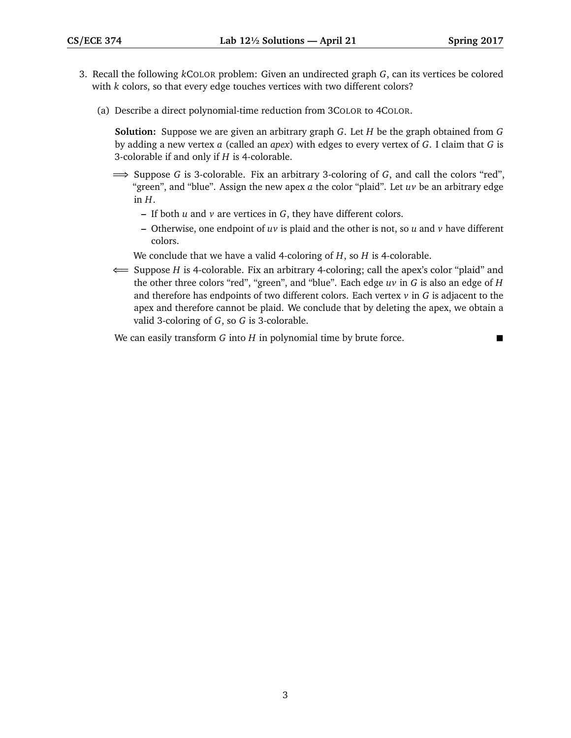- 3. Recall the following *k*COLOR problem: Given an undirected graph *G*, can its vertices be colored with *k* colors, so that every edge touches vertices with two different colors?
	- (a) Describe a direct polynomial-time reduction from 3COLOR to 4COLOR.

**Solution:** Suppose we are given an arbitrary graph *G*. Let *H* be the graph obtained from *G* by adding a new vertex *a* (called an *apex*) with edges to every vertex of *G*. I claim that *G* is 3-colorable if and only if *H* is 4-colorable.

- =⇒ Suppose *G* is 3-colorable. Fix an arbitrary 3-coloring of *G*, and call the colors "red", "green", and "blue". Assign the new apex *a* the color "plaid". Let *uv* be an arbitrary edge in  $H$ .
	- **–** If both *u* and *v* are vertices in *G*, they have different colors.
	- **–** Otherwise, one endpoint of *uv* is plaid and the other is not, so *u* and *v* have different colors.

We conclude that we have a valid 4-coloring of *H*, so *H* is 4-colorable.

⇐= Suppose *H* is 4-colorable. Fix an arbitrary 4-coloring; call the apex's color "plaid" and the other three colors "red", "green", and "blue". Each edge *uv* in *G* is also an edge of *H* and therefore has endpoints of two different colors. Each vertex *v* in *G* is adjacent to the apex and therefore cannot be plaid. We conclude that by deleting the apex, we obtain a valid 3-coloring of *G*, so *G* is 3-colorable.

We can easily transform *G* into *H* in polynomial time by brute force.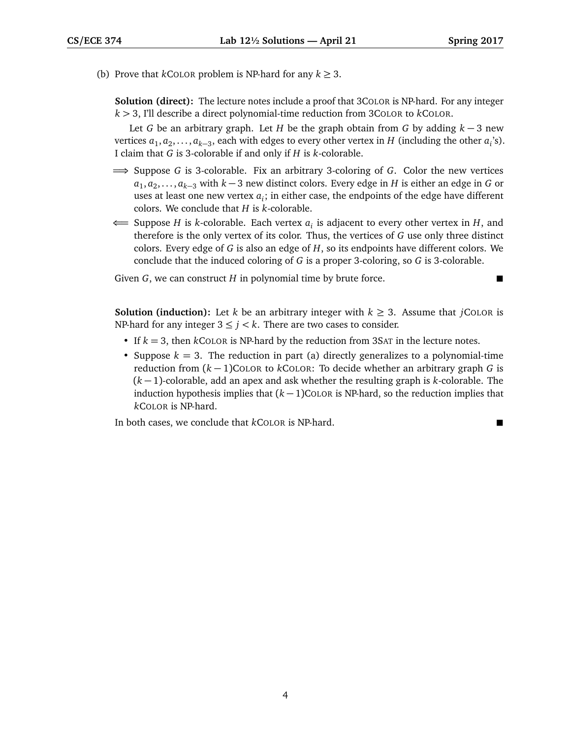(b) Prove that *k*COLOR problem is NP-hard for any  $k \geq 3$ .

**Solution (direct):** The lecture notes include a proof that 3COLOR is NP-hard. For any integer *k >* 3, I'll describe a direct polynomial-time reduction from 3COLOR to *k*COLOR.

Let *G* be an arbitrary graph. Let *H* be the graph obtain from *G* by adding *k* − 3 new vertices  $a_1, a_2, \ldots, a_{k-3}$ , each with edges to every other vertex in  $H$  (including the other  $a_i$ 's). I claim that *G* is 3-colorable if and only if *H* is *k*-colorable.

- =⇒ Suppose *G* is 3-colorable. Fix an arbitrary 3-coloring of *G*. Color the new vertices *a*<sub>1</sub>, *a*<sub>2</sub>, . . . , *a*<sub>*k*−3</sub> with *k* − 3 new distinct colors. Every edge in *H* is either an edge in *G* or uses at least one new vertex  $a_i$ ; in either case, the endpoints of the edge have different colors. We conclude that *H* is *k*-colorable.
- ⇐= Suppose *H* is *k*-colorable. Each vertex *a<sup>i</sup>* is adjacent to every other vertex in *H*, and therefore is the only vertex of its color. Thus, the vertices of *G* use only three distinct colors. Every edge of *G* is also an edge of *H*, so its endpoints have different colors. We conclude that the induced coloring of *G* is a proper 3-coloring, so *G* is 3-colorable.

Given *G*, we can construct *H* in polynomial time by brute force.

**Solution (induction):** Let *k* be an arbitrary integer with  $k \geq 3$ . Assume that *j*COLOR is NP-hard for any integer  $3 \le i \le k$ . There are two cases to consider.

- If *k* = 3, then *k*COLOR is NP-hard by the reduction from 3SAT in the lecture notes.
- Suppose  $k = 3$ . The reduction in part (a) directly generalizes to a polynomial-time reduction from (*k* − 1)COLOR to *k*COLOR: To decide whether an arbitrary graph *G* is (*k* − 1)-colorable, add an apex and ask whether the resulting graph is *k*-colorable. The induction hypothesis implies that (*k* − 1)COLOR is NP-hard, so the reduction implies that *k*COLOR is NP-hard.

In both cases, we conclude that *k*COLOR is NP-hard.